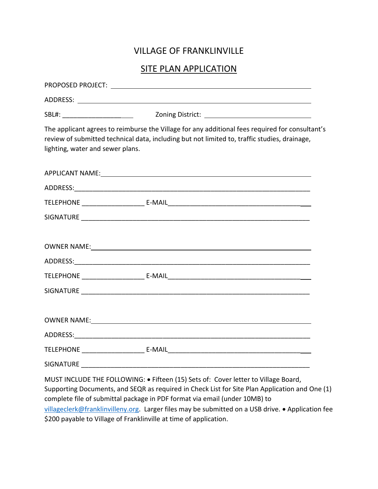## VILLAGE OF FRANKLINVILLE

## SITE PLAN APPLICATION

| lighting, water and sewer plans. | The applicant agrees to reimburse the Village for any additional fees required for consultant's<br>review of submitted technical data, including but not limited to, traffic studies, drainage,                                                                                                                                                                         |
|----------------------------------|-------------------------------------------------------------------------------------------------------------------------------------------------------------------------------------------------------------------------------------------------------------------------------------------------------------------------------------------------------------------------|
|                                  | APPLICANT NAME: NAME: A PRODUCT OF A SERIES OF A SERIES OF A SERIES OF A SERIES OF A SERIES OF A SERIES OF A S                                                                                                                                                                                                                                                          |
|                                  |                                                                                                                                                                                                                                                                                                                                                                         |
|                                  |                                                                                                                                                                                                                                                                                                                                                                         |
|                                  |                                                                                                                                                                                                                                                                                                                                                                         |
|                                  |                                                                                                                                                                                                                                                                                                                                                                         |
|                                  |                                                                                                                                                                                                                                                                                                                                                                         |
|                                  |                                                                                                                                                                                                                                                                                                                                                                         |
|                                  |                                                                                                                                                                                                                                                                                                                                                                         |
|                                  |                                                                                                                                                                                                                                                                                                                                                                         |
| SIGNATURE                        |                                                                                                                                                                                                                                                                                                                                                                         |
|                                  | MUST INCLUDE THE FOLLOWING: . Fifteen (15) Sets of: Cover letter to Village Board,<br>Supporting Documents, and SEQR as required in Check List for Site Plan Application and One (1)<br>complete file of submittal package in PDF format via email (under 10MB) to<br>villageclerk@franklinvilleny.org. Larger files may be submitted on a USB drive. . Application fee |

\$200 payable to Village of Franklinville at time of application.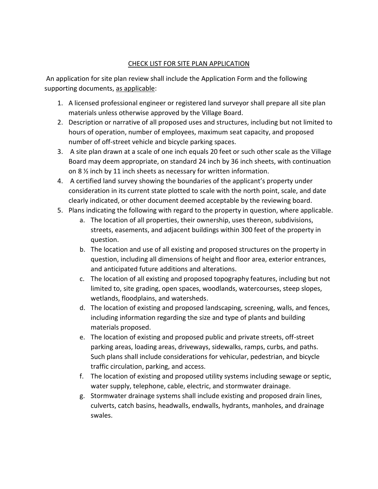## CHECK LIST FOR SITE PLAN APPLICATION

An application for site plan review shall include the Application Form and the following supporting documents, as applicable:

- 1. A licensed professional engineer or registered land surveyor shall prepare all site plan materials unless otherwise approved by the Village Board.
- 2. Description or narrative of all proposed uses and structures, including but not limited to hours of operation, number of employees, maximum seat capacity, and proposed number of off-street vehicle and bicycle parking spaces.
- 3. A site plan drawn at a scale of one inch equals 20 feet or such other scale as the Village Board may deem appropriate, on standard 24 inch by 36 inch sheets, with continuation on 8 ½ inch by 11 inch sheets as necessary for written information.
- 4. A certified land survey showing the boundaries of the applicant's property under consideration in its current state plotted to scale with the north point, scale, and date clearly indicated, or other document deemed acceptable by the reviewing board.
- 5. Plans indicating the following with regard to the property in question, where applicable.
	- a. The location of all properties, their ownership, uses thereon, subdivisions, streets, easements, and adjacent buildings within 300 feet of the property in question.
	- b. The location and use of all existing and proposed structures on the property in question, including all dimensions of height and floor area, exterior entrances, and anticipated future additions and alterations.
	- c. The location of all existing and proposed topography features, including but not limited to, site grading, open spaces, woodlands, watercourses, steep slopes, wetlands, floodplains, and watersheds.
	- d. The location of existing and proposed landscaping, screening, walls, and fences, including information regarding the size and type of plants and building materials proposed.
	- e. The location of existing and proposed public and private streets, off-street parking areas, loading areas, driveways, sidewalks, ramps, curbs, and paths. Such plans shall include considerations for vehicular, pedestrian, and bicycle traffic circulation, parking, and access.
	- f. The location of existing and proposed utility systems including sewage or septic, water supply, telephone, cable, electric, and stormwater drainage.
	- g. Stormwater drainage systems shall include existing and proposed drain lines, culverts, catch basins, headwalls, endwalls, hydrants, manholes, and drainage swales.